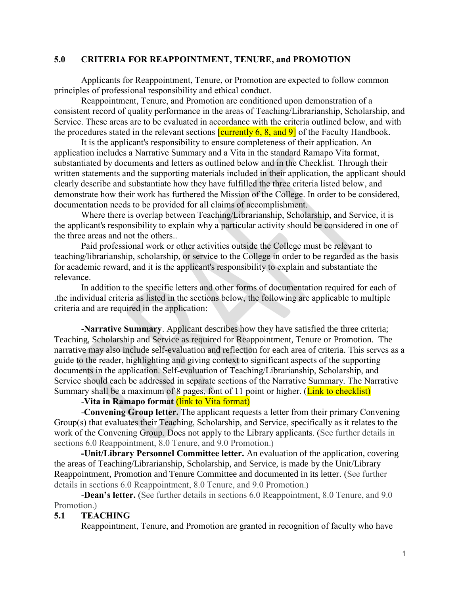## **5.0 CRITERIA FOR REAPPOINTMENT, TENURE, and PROMOTION**

Applicants for Reappointment, Tenure, or Promotion are expected to follow common principles of professional responsibility and ethical conduct.

Reappointment, Tenure, and Promotion are conditioned upon demonstration of a consistent record of quality performance in the areas of Teaching/Librarianship, Scholarship, and Service. These areas are to be evaluated in accordance with the criteria outlined below, and with the procedures stated in the relevant sections  $\frac{\text{currently } 6, 8, \text{ and } 9}$  of the Faculty Handbook.

It is the applicant's responsibility to ensure completeness of their application. An application includes a Narrative Summary and a Vita in the standard Ramapo Vita format, substantiated by documents and letters as outlined below and in the Checklist. Through their written statements and the supporting materials included in their application, the applicant should clearly describe and substantiate how they have fulfilled the three criteria listed below, and demonstrate how their work has furthered the Mission of the College. In order to be considered, documentation needs to be provided for all claims of accomplishment.

Where there is overlap between Teaching/Librarianship, Scholarship, and Service, it is the applicant's responsibility to explain why a particular activity should be considered in one of the three areas and not the others..

Paid professional work or other activities outside the College must be relevant to teaching/librarianship, scholarship, or service to the College in order to be regarded as the basis for academic reward, and it is the applicant's responsibility to explain and substantiate the relevance.

In addition to the specific letters and other forms of documentation required for each of .the individual criteria as listed in the sections below, the following are applicable to multiple criteria and are required in the application:

-**Narrative Summary**. Applicant describes how they have satisfied the three criteria; Teaching, Scholarship and Service as required for Reappointment, Tenure or Promotion. The narrative may also include self-evaluation and reflection for each area of criteria. This serves as a guide to the reader, highlighting and giving context to significant aspects of the supporting documents in the application. Self-evaluation of Teaching/Librarianship, Scholarship, and Service should each be addressed in separate sections of the Narrative Summary. The Narrative Summary shall be a maximum of 8 pages, font of 11 point or higher. (Link to checklist)

## -**Vita in Ramapo format** (link to Vita format)

-**Convening Group letter.** The applicant requests a letter from their primary Convening Group(s) that evaluates their Teaching, Scholarship, and Service, specifically as it relates to the work of the Convening Group. Does not apply to the Library applicants. (See further details in sections 6.0 Reappointment, 8.0 Tenure, and 9.0 Promotion.)

**-Unit/Library Personnel Committee letter.** An evaluation of the application, covering the areas of Teaching/Librarianship, Scholarship, and Service, is made by the Unit/Library Reappointment, Promotion and Tenure Committee and documented in its letter. (See further details in sections 6.0 Reappointment, 8.0 Tenure, and 9.0 Promotion.)

-**Dean's letter.** (See further details in sections 6.0 Reappointment, 8.0 Tenure, and 9.0 Promotion.)

# **5.1 TEACHING**

Reappointment, Tenure, and Promotion are granted in recognition of faculty who have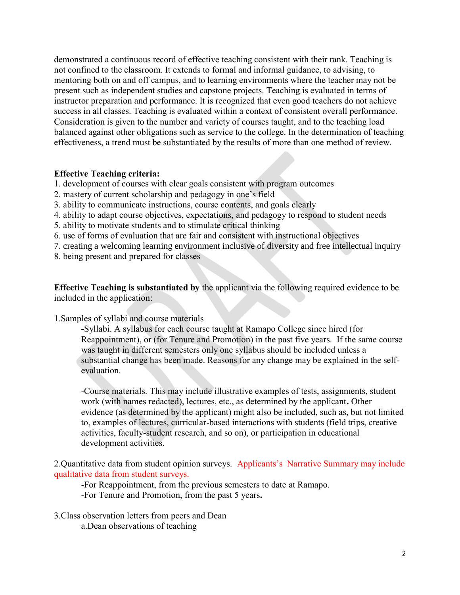demonstrated a continuous record of effective teaching consistent with their rank. Teaching is not confined to the classroom. It extends to formal and informal guidance, to advising, to mentoring both on and off campus, and to learning environments where the teacher may not be present such as independent studies and capstone projects. Teaching is evaluated in terms of instructor preparation and performance. It is recognized that even good teachers do not achieve success in all classes. Teaching is evaluated within a context of consistent overall performance. Consideration is given to the number and variety of courses taught, and to the teaching load balanced against other obligations such as service to the college. In the determination of teaching effectiveness, a trend must be substantiated by the results of more than one method of review.

### **Effective Teaching criteria:**

- 1. development of courses with clear goals consistent with program outcomes
- 2. mastery of current scholarship and pedagogy in one's field
- 3. ability to communicate instructions, course contents, and goals clearly
- 4. ability to adapt course objectives, expectations, and pedagogy to respond to student needs
- 5. ability to motivate students and to stimulate critical thinking
- 6. use of forms of evaluation that are fair and consistent with instructional objectives
- 7. creating a welcoming learning environment inclusive of diversity and free intellectual inquiry
- 8. being present and prepared for classes

**Effective Teaching is substantiated by** the applicant via the following required evidence to be included in the application:

1.Samples of syllabi and course materials

**-**Syllabi. A syllabus for each course taught at Ramapo College since hired (for Reappointment), or (for Tenure and Promotion) in the past five years. If the same course was taught in different semesters only one syllabus should be included unless a substantial change has been made. Reasons for any change may be explained in the selfevaluation.

-Course materials. This may include illustrative examples of tests, assignments, student work (with names redacted), lectures, etc., as determined by the applicant**.** Other evidence (as determined by the applicant) might also be included, such as, but not limited to, examples of lectures, curricular-based interactions with students (field trips, creative activities, faculty-student research, and so on), or participation in educational development activities.

2.Quantitative data from student opinion surveys. Applicants's Narrative Summary may include qualitative data from student surveys.

-For Reappointment, from the previous semesters to date at Ramapo.

-For Tenure and Promotion, from the past 5 years**.**

3.Class observation letters from peers and Dean a.Dean observations of teaching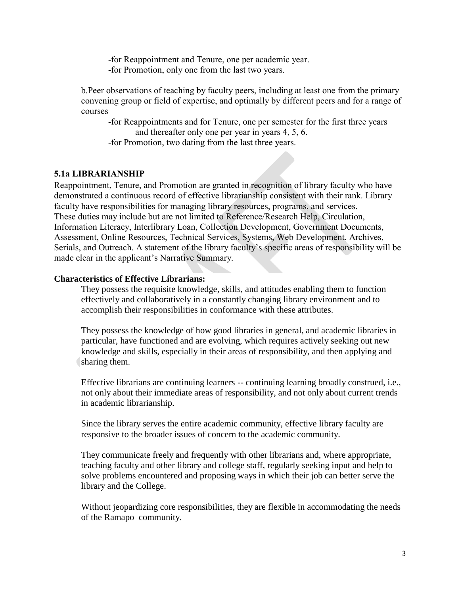-for Reappointment and Tenure, one per academic year.

-for Promotion, only one from the last two years.

b.Peer observations of teaching by faculty peers, including at least one from the primary convening group or field of expertise, and optimally by different peers and for a range of courses

-for Reappointments and for Tenure, one per semester for the first three years and thereafter only one per year in years 4, 5, 6.

-for Promotion, two dating from the last three years.

# **5.1a LIBRARIANSHIP**

Reappointment, Tenure, and Promotion are granted in recognition of library faculty who have demonstrated a continuous record of effective librarianship consistent with their rank. Library faculty have responsibilities for managing library resources, programs, and services. These duties may include but are not limited to Reference/Research Help, Circulation, Information Literacy, Interlibrary Loan, Collection Development, Government Documents, Assessment, Online Resources, Technical Services, Systems, Web Development, Archives, Serials, and Outreach. A statement of the library faculty's specific areas of responsibility will be made clear in the applicant's Narrative Summary.

### **Characteristics of Effective Librarians:**

They possess the requisite knowledge, skills, and attitudes enabling them to function effectively and collaboratively in a constantly changing library environment and to accomplish their responsibilities in conformance with these attributes.

They possess the knowledge of how good libraries in general, and academic libraries in particular, have functioned and are evolving, which requires actively seeking out new knowledge and skills, especially in their areas of responsibility, and then applying and sharing them.

Effective librarians are continuing learners -- continuing learning broadly construed, i.e., not only about their immediate areas of responsibility, and not only about current trends in academic librarianship.

Since the library serves the entire academic community, effective library faculty are responsive to the broader issues of concern to the academic community.

They communicate freely and frequently with other librarians and, where appropriate, teaching faculty and other library and college staff, regularly seeking input and help to solve problems encountered and proposing ways in which their job can better serve the library and the College.

Without jeopardizing core responsibilities, they are flexible in accommodating the needs of the Ramapo community.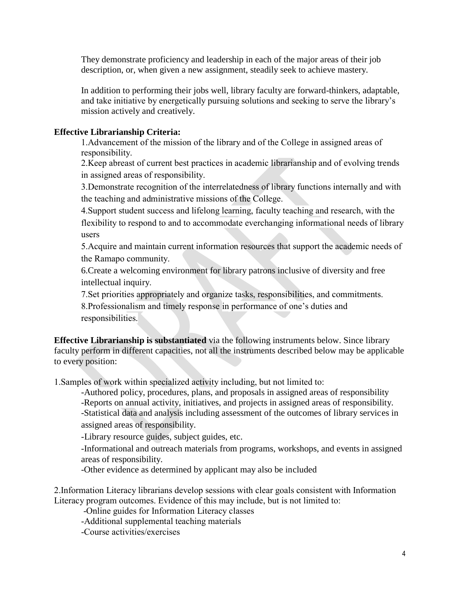They demonstrate proficiency and leadership in each of the major areas of their job description, or, when given a new assignment, steadily seek to achieve mastery.

In addition to performing their jobs well, library faculty are forward-thinkers, adaptable, and take initiative by energetically pursuing solutions and seeking to serve the library's mission actively and creatively.

# **Effective Librarianship Criteria:**

1.Advancement of the mission of the library and of the College in assigned areas of responsibility.

2.Keep abreast of current best practices in academic librarianship and of evolving trends in assigned areas of responsibility.

3.Demonstrate recognition of the interrelatedness of library functions internally and with the teaching and administrative missions of the College.

4.Support student success and lifelong learning, faculty teaching and research, with the flexibility to respond to and to accommodate everchanging informational needs of library users

5.Acquire and maintain current information resources that support the academic needs of the Ramapo community.

6.Create a welcoming environment for library patrons inclusive of diversity and free intellectual inquiry.

7.Set priorities appropriately and organize tasks, responsibilities, and commitments. 8.Professionalism and timely response in performance of one's duties and responsibilities.

**Effective Librarianship is substantiated** via the following instruments below. Since library faculty perform in different capacities, not all the instruments described below may be applicable to every position:

1.Samples of work within specialized activity including, but not limited to:

-Authored policy, procedures, plans, and proposals in assigned areas of responsibility -Reports on annual activity, initiatives, and projects in assigned areas of responsibility. -Statistical data and analysis including assessment of the outcomes of library services in assigned areas of responsibility.

-Library resource guides, subject guides, etc.

-Informational and outreach materials from programs, workshops, and events in assigned areas of responsibility.

-Other evidence as determined by applicant may also be included

2.Information Literacy librarians develop sessions with clear goals consistent with Information Literacy program outcomes. Evidence of this may include, but is not limited to:

-Online guides for Information Literacy classes

-Additional supplemental teaching materials

-Course activities/exercises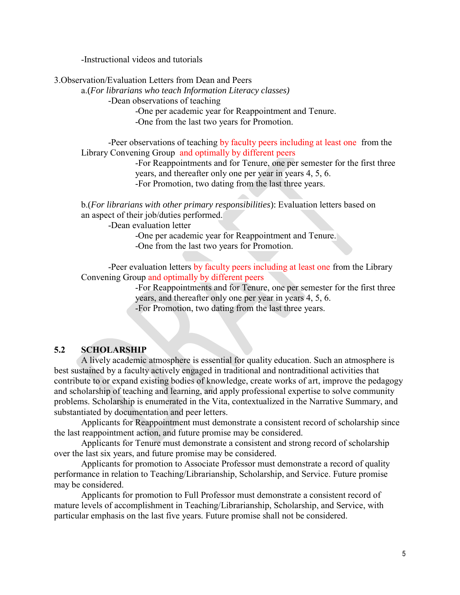-Instructional videos and tutorials

3.Observation/Evaluation Letters from Dean and Peers

a.(*For librarians who teach Information Literacy classes)*

*-*Dean observations of teaching

-One per academic year for Reappointment and Tenure.

-One from the last two years for Promotion.

-Peer observations of teaching by faculty peers including at least one from the Library Convening Group and optimally by different peers

> -For Reappointments and for Tenure, one per semester for the first three years, and thereafter only one per year in years 4, 5, 6. -For Promotion, two dating from the last three years.

b.(*For librarians with other primary responsibilities*): Evaluation letters based on an aspect of their job/duties performed.

-Dean evaluation letter

-One per academic year for Reappointment and Tenure. -One from the last two years for Promotion.

-Peer evaluation letters by faculty peers including at least one from the Library Convening Group and optimally by different peers

> -For Reappointments and for Tenure, one per semester for the first three years, and thereafter only one per year in years 4, 5, 6. -For Promotion, two dating from the last three years.

## **5.2 SCHOLARSHIP**

A lively academic atmosphere is essential for quality education. Such an atmosphere is best sustained by a faculty actively engaged in traditional and nontraditional activities that contribute to or expand existing bodies of knowledge, create works of art, improve the pedagogy and scholarship of teaching and learning, and apply professional expertise to solve community problems. Scholarship is enumerated in the Vita, contextualized in the Narrative Summary, and substantiated by documentation and peer letters.

Applicants for Reappointment must demonstrate a consistent record of scholarship since the last reappointment action, and future promise may be considered.

Applicants for Tenure must demonstrate a consistent and strong record of scholarship over the last six years, and future promise may be considered.

Applicants for promotion to Associate Professor must demonstrate a record of quality performance in relation to Teaching/Librarianship, Scholarship, and Service. Future promise may be considered.

Applicants for promotion to Full Professor must demonstrate a consistent record of mature levels of accomplishment in Teaching/Librarianship, Scholarship, and Service, with particular emphasis on the last five years. Future promise shall not be considered.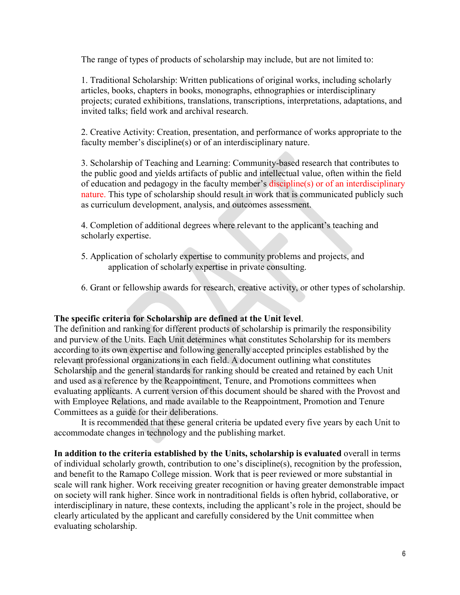The range of types of products of scholarship may include, but are not limited to:

1. Traditional Scholarship: Written publications of original works, including scholarly articles, books, chapters in books, monographs, ethnographies or interdisciplinary projects; curated exhibitions, translations, transcriptions, interpretations, adaptations, and invited talks; field work and archival research.

2. Creative Activity: Creation, presentation, and performance of works appropriate to the faculty member's discipline(s) or of an interdisciplinary nature.

3. Scholarship of Teaching and Learning: Community-based research that contributes to the public good and yields artifacts of public and intellectual value, often within the field of education and pedagogy in the faculty member's discipline(s) or of an interdisciplinary nature. This type of scholarship should result in work that is communicated publicly such as curriculum development, analysis, and outcomes assessment.

4. Completion of additional degrees where relevant to the applicant's teaching and scholarly expertise.

- 5. Application of scholarly expertise to community problems and projects, and application of scholarly expertise in private consulting.
- 6. Grant or fellowship awards for research, creative activity, or other types of scholarship.

# **The specific criteria for Scholarship are defined at the Unit level**.

The definition and ranking for different products of scholarship is primarily the responsibility and purview of the Units. Each Unit determines what constitutes Scholarship for its members according to its own expertise and following generally accepted principles established by the relevant professional organizations in each field. A document outlining what constitutes Scholarship and the general standards for ranking should be created and retained by each Unit and used as a reference by the Reappointment, Tenure, and Promotions committees when evaluating applicants. A current version of this document should be shared with the Provost and with Employee Relations, and made available to the Reappointment, Promotion and Tenure Committees as a guide for their deliberations.

It is recommended that these general criteria be updated every five years by each Unit to accommodate changes in technology and the publishing market.

**In addition to the criteria established by the Units, scholarship is evaluated** overall in terms of individual scholarly growth, contribution to one's discipline(s), recognition by the profession, and benefit to the Ramapo College mission. Work that is peer reviewed or more substantial in scale will rank higher. Work receiving greater recognition or having greater demonstrable impact on society will rank higher. Since work in nontraditional fields is often hybrid, collaborative, or interdisciplinary in nature, these contexts, including the applicant's role in the project, should be clearly articulated by the applicant and carefully considered by the Unit committee when evaluating scholarship.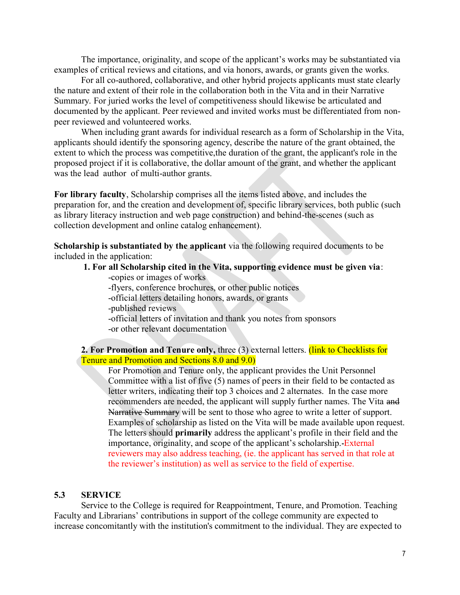The importance, originality, and scope of the applicant's works may be substantiated via examples of critical reviews and citations, and via honors, awards, or grants given the works.

For all co-authored, collaborative, and other hybrid projects applicants must state clearly the nature and extent of their role in the collaboration both in the Vita and in their Narrative Summary. For juried works the level of competitiveness should likewise be articulated and documented by the applicant. Peer reviewed and invited works must be differentiated from nonpeer reviewed and volunteered works.

When including grant awards for individual research as a form of Scholarship in the Vita, applicants should identify the sponsoring agency, describe the nature of the grant obtained, the extent to which the process was competitive,the duration of the grant, the applicant's role in the proposed project if it is collaborative, the dollar amount of the grant, and whether the applicant was the lead author of multi-author grants.

**For library faculty**, Scholarship comprises all the items listed above, and includes the preparation for, and the creation and development of, specific library services, both public (such as library literacy instruction and web page construction) and behind-the-scenes (such as collection development and online catalog enhancement).

**Scholarship is substantiated by the applicant** via the following required documents to be included in the application:

- **1. For all Scholarship cited in the Vita, supporting evidence must be given via**:
	- -copies or images of works
	- -flyers, conference brochures, or other public notices
	- -official letters detailing honors, awards, or grants
	- -published reviews
	- -official letters of invitation and thank you notes from sponsors -or other relevant documentation

## **2. For Promotion and Tenure only, three (3) external letters. (link to Checklists for** Tenure and Promotion and Sections 8.0 and 9.0)

For Promotion and Tenure only, the applicant provides the Unit Personnel Committee with a list of five (5) names of peers in their field to be contacted as letter writers, indicating their top 3 choices and 2 alternates. In the case more recommenders are needed, the applicant will supply further names. The Vita and Narrative Summary will be sent to those who agree to write a letter of support. Examples of scholarship as listed on the Vita will be made available upon request. The letters should **primarily** address the applicant's profile in their field and the importance, originality, and scope of the applicant's scholarship. External reviewers may also address teaching, (ie. the applicant has served in that role at the reviewer's institution) as well as service to the field of expertise.

#### **5.3 SERVICE**

Service to the College is required for Reappointment, Tenure, and Promotion. Teaching Faculty and Librarians' contributions in support of the college community are expected to increase concomitantly with the institution's commitment to the individual. They are expected to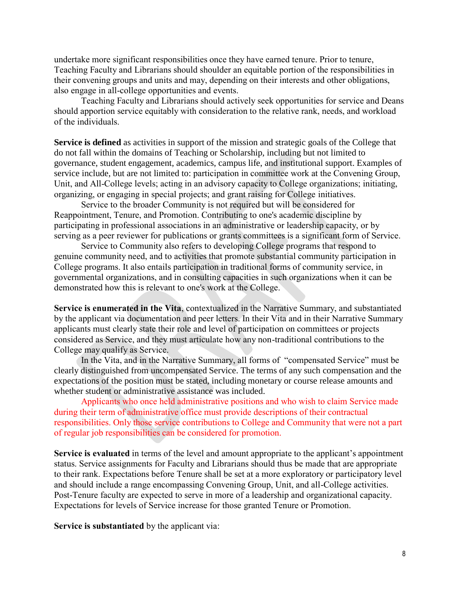undertake more significant responsibilities once they have earned tenure. Prior to tenure, Teaching Faculty and Librarians should shoulder an equitable portion of the responsibilities in their convening groups and units and may, depending on their interests and other obligations, also engage in all-college opportunities and events.

Teaching Faculty and Librarians should actively seek opportunities for service and Deans should apportion service equitably with consideration to the relative rank, needs, and workload of the individuals.

**Service is defined** as activities in support of the mission and strategic goals of the College that do not fall within the domains of Teaching or Scholarship, including but not limited to governance, student engagement, academics, campus life, and institutional support. Examples of service include, but are not limited to: participation in committee work at the Convening Group, Unit, and All-College levels; acting in an advisory capacity to College organizations; initiating, organizing, or engaging in special projects; and grant raising for College initiatives.

Service to the broader Community is not required but will be considered for Reappointment, Tenure, and Promotion. Contributing to one's academic discipline by participating in professional associations in an administrative or leadership capacity, or by serving as a peer reviewer for publications or grants committees is a significant form of Service.

Service to Community also refers to developing College programs that respond to genuine community need, and to activities that promote substantial community participation in College programs. It also entails participation in traditional forms of community service, in governmental organizations, and in consulting capacities in such organizations when it can be demonstrated how this is relevant to one's work at the College.

**Service is enumerated in the Vita**, contextualized in the Narrative Summary, and substantiated by the applicant via documentation and peer letters. In their Vita and in their Narrative Summary applicants must clearly state their role and level of participation on committees or projects considered as Service, and they must articulate how any non-traditional contributions to the College may qualify as Service.

In the Vita, and in the Narrative Summary, all forms of "compensated Service" must be clearly distinguished from uncompensated Service. The terms of any such compensation and the expectations of the position must be stated, including monetary or course release amounts and whether student or administrative assistance was included.

Applicants who once held administrative positions and who wish to claim Service made during their term of administrative office must provide descriptions of their contractual responsibilities. Only those service contributions to College and Community that were not a part of regular job responsibilities can be considered for promotion.

**Service is evaluated** in terms of the level and amount appropriate to the applicant's appointment status. Service assignments for Faculty and Librarians should thus be made that are appropriate to their rank. Expectations before Tenure shall be set at a more exploratory or participatory level and should include a range encompassing Convening Group, Unit, and all-College activities. Post-Tenure faculty are expected to serve in more of a leadership and organizational capacity. Expectations for levels of Service increase for those granted Tenure or Promotion.

**Service is substantiated** by the applicant via: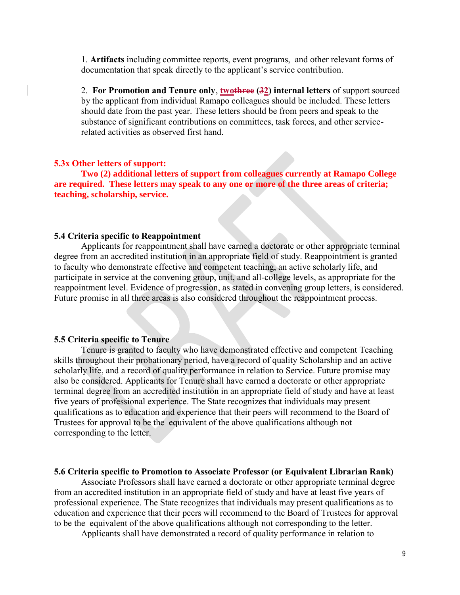1. **Artifacts** including committee reports, event programs, and other relevant forms of documentation that speak directly to the applicant's service contribution.

2. **For Promotion and Tenure only**, **twothree (32) internal letters** of support sourced by the applicant from individual Ramapo colleagues should be included. These letters should date from the past year. These letters should be from peers and speak to the substance of significant contributions on committees, task forces, and other servicerelated activities as observed first hand.

#### **5.3x Other letters of support:**

**Two (2) additional letters of support from colleagues currently at Ramapo College are required. These letters may speak to any one or more of the three areas of criteria; teaching, scholarship, service.**

#### **5.4 Criteria specific to Reappointment**

Applicants for reappointment shall have earned a doctorate or other appropriate terminal degree from an accredited institution in an appropriate field of study. Reappointment is granted to faculty who demonstrate effective and competent teaching, an active scholarly life, and participate in service at the convening group, unit, and all-college levels, as appropriate for the reappointment level. Evidence of progression, as stated in convening group letters, is considered. Future promise in all three areas is also considered throughout the reappointment process.

#### **5.5 Criteria specific to Tenure**

Tenure is granted to faculty who have demonstrated effective and competent Teaching skills throughout their probationary period, have a record of quality Scholarship and an active scholarly life, and a record of quality performance in relation to Service. Future promise may also be considered. Applicants for Tenure shall have earned a doctorate or other appropriate terminal degree from an accredited institution in an appropriate field of study and have at least five years of professional experience. The State recognizes that individuals may present qualifications as to education and experience that their peers will recommend to the Board of Trustees for approval to be the equivalent of the above qualifications although not corresponding to the letter.

#### **5.6 Criteria specific to Promotion to Associate Professor (or Equivalent Librarian Rank)**

Associate Professors shall have earned a doctorate or other appropriate terminal degree from an accredited institution in an appropriate field of study and have at least five years of professional experience. The State recognizes that individuals may present qualifications as to education and experience that their peers will recommend to the Board of Trustees for approval to be the equivalent of the above qualifications although not corresponding to the letter.

Applicants shall have demonstrated a record of quality performance in relation to